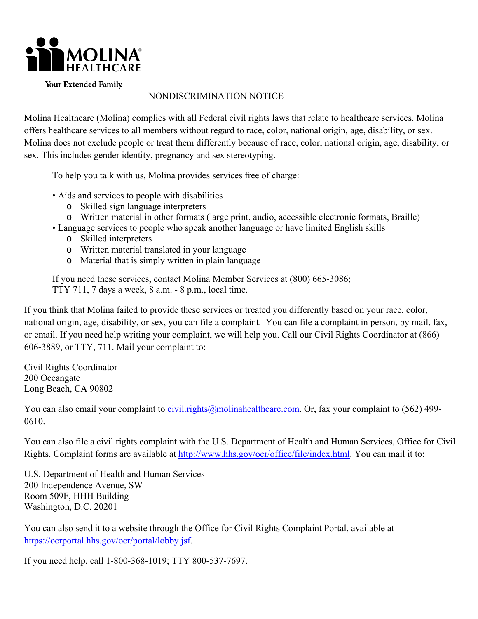

Your Extended Family.

### NONDISCRIMINATION NOTICE

Molina Healthcare (Molina) complies with all Federal civil rights laws that relate to healthcare services. Molina offers healthcare services to all members without regard to race, color, national origin, age, disability, or sex. Molina does not exclude people or treat them differently because of race, color, national origin, age, disability, or sex. This includes gender identity, pregnancy and sex stereotyping.

To help you talk with us, Molina provides services free of charge:

- Aids and services to people with disabilities
	- o Skilled sign language interpreters
- o Written material in other formats (large print, audio, accessible electronic formats, Braille)
- Language services to people who speak another language or have limited English skills
	- o Skilled interpreters
	- o Written material translated in your language
	- o Material that is simply written in plain language

If you need these services, contact Molina Member Services at (800) 665-3086; TTY 711, 7 days a week, 8 a.m. - 8 p.m., local time.

 606-3889, or TTY, 711. Mail your complaint to: Civil Rights Coordinator If you think that Molina failed to provide these services or treated you differently based on your race, color, national origin, age, disability, or sex, you can file a complaint. You can file a complaint in person, by mail, fax, or email. If you need help writing your complaint, we will help you. Call our Civil Rights Coordinator at (866)

200 Oceangate Long Beach, CA 90802

You can also email your complaint to [civil.rights@molinahealthcare.com.](mailto:civil.rights@molinahealthcare.com) Or, fax your complaint to (562) 499-0610.

You can also file a civil rights complaint with the U.S. Department of Health and Human Services, Office for Civil Rights. Complaint forms are available at [http://www.hhs.gov/ocr/office/file/index.html.](http://www.hhs.gov/ocr/office/file/index.html) You can mail it to:

U.S. Department of Health and Human Services 200 Independence Avenue, SW Room 509F, HHH Building Washington, D.C. 20201

You can also send it to a website through the Office for Civil Rights Complaint Portal, available at [https://ocrportal.hhs.gov/ocr/portal/lobby.jsf.](https://ocrportal.hhs.gov/ocr/portal/lobby.jsf)

If you need help, call 1-800-368-1019; TTY 800-537-7697.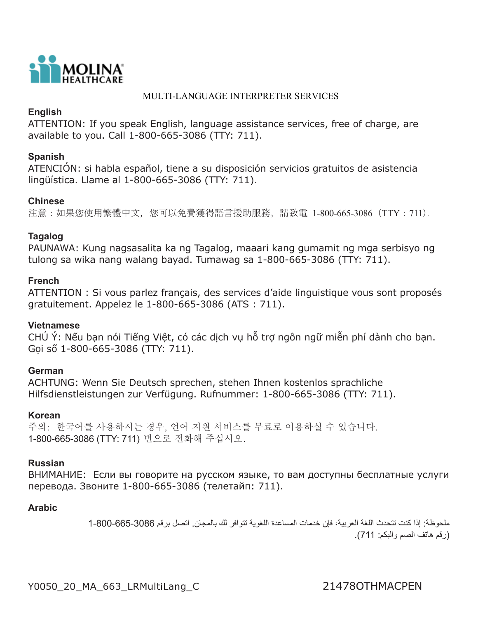

### MULTI-LANGUAGE INTERPRETER SERVICES

# **English**

ATTENTION: If you speak English, language assistance services, free of charge, are available to you. Call 1-800-665-3086 (TTY: 711).

# **Spanish**

ATENCIÓN: si habla español, tiene a su disposición servicios gratuitos de asistencia lingüística. Llame al 1-800-665-3086 (TTY: 711).

## **Chinese**

注意:如果您使用繁體中文,您可以免費獲得語言援助服務。請致電 1-800-665-3086(TTY:711).

## **Tagalog**

PAUNAWA: Kung nagsasalita ka ng Tagalog, maaari kang gumamit ng mga serbisyo ng tulong sa wika nang walang bayad. Tumawag sa 1-800-665-3086 (TTY: 711).

## **French**

ATTENTION : Si vous parlez français, des services d'aide linguistique vous sont proposés gratuitement. Appelez le 1-800-665-3086 (ATS : 711).

### **Vietnamese**

CHÚ Ý: Nếu bạn nói Tiếng Việt, có các dịch vụ hỗ trợ ngôn ngữ miễn phí dành cho bạn. Gọi số 1-800-665-3086 (TTY: 711).

# **German**

ACHTUNG: Wenn Sie Deutsch sprechen, stehen Ihnen kostenlos sprachliche Hilfsdienstleistungen zur Verfügung. Rufnummer: 1-800-665-3086 (TTY: 711).

### **Korean**

주의: 한국어를 사용하시는 경우, 언어 지원 서비스를 무료로 이용하실 수 있습니다. 1-800-665-3086 (TTY: 711) 번으로 전화해 주십시오.

# **Russian**

ВНИМАНИЕ: Если вы говорите на русском языке, то вам доступны бесплатные услуги перевода. Звоните 1-800-665-3086 (телетайп: 711).

# **Arabic**

ملحوظة: إذا كنت تتحدث اللغة العربية، فإن خدمات المساعدة اللغوية تتوافر لك بالمجان. اتصل برقم 1-800-665-3086 )رقم هاتف الصم والبكم: 711 (.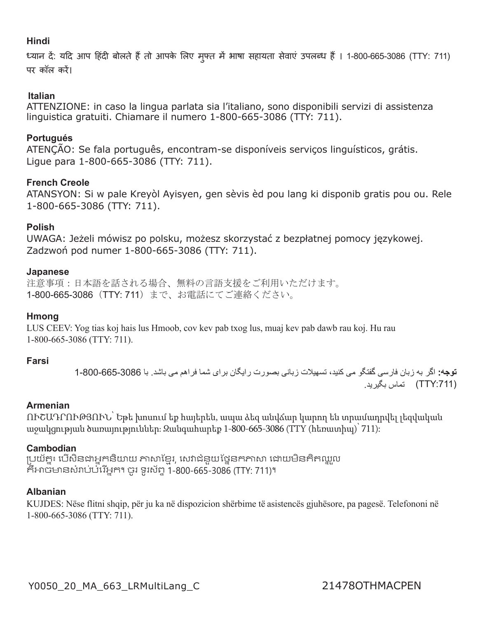# **Hindi**

ध्यान दें: यदि आप हिंदी बोलते हैं तो आपके लिए मुफ्त में भाषा सहायता सेवाएं उपलब्ध हैं । 1-800-665-3086 (TTY: 711) पर कॉल करें।

### **Italian**

ATTENZIONE: in caso la lingua parlata sia l'italiano, sono disponibili servizi di assistenza linguistica gratuiti. Chiamare il numero 1-800-665-3086 (TTY: 711).

### **Portugués**

ATENÇÃO: Se fala português, encontram-se disponíveis serviços linguísticos, grátis. Ligue para 1-800-665-3086 (TTY: 711).

## **French Creole**

ATANSYON: Si w pale Kreyòl Ayisyen, gen sèvis èd pou lang ki disponib gratis pou ou. Rele 1-800-665-3086 (TTY: 711).

### **Polish**

UWAGA: Jeżeli mówisz po polsku, możesz skorzystać z bezpłatnej pomocy językowej. Zadzwoń pod numer 1-800-665-3086 (TTY: 711).

#### **Japanese**

注意事項:日本語を話される場合、無料の言語支援をご利用いただけます。 1-800-665-3086(TTY: 711)まで、お電話にてご連絡ください。

### **Hmong**

LUS CEEV: Yog tias koj hais lus Hmoob, cov kev pab txog lus, muaj kev pab dawb rau koj. Hu rau 1-800-665-3086 (TTY: 711).

### **Farsi**

**توجه:** اگر به زبان فارسی گفتگو می کنید، تسهیلات زبانی بصورت رایگان برای شما فراهم می باشد. با 3086-665-800-1 (TTY:711) تماس بگير بد

## **Armenian**

ՈՒՇԱԴՐՈՒԹՅՈՒՆ՝ Եթե խոսում եք հայերեն, ապա ձեզ անվճար կարող են տրամադրվել լեզվական աջակցության ծառայություններ։ Զանգահարեք 1-800-665-3086 (TTY (հեռատիպ)՝ 711):

### **Cambodian**

ើ ប្រយ័ត្ន៖ បើសិនជាអ្នកនិយាយ ភាសាខ្មែរ, សេវាជំនួយថ្នៃនកភាសា ដោយមិនគិតឈ្លួល កអាចមានសរាបបរេអ្នក។ ចូរ ទូរសព្ទ 1-800-665-3086 (TTY: 711)។

### **Albanian**

KUJDES: Nëse flitni shqip, për ju ka në dispozicion shërbime të asistencës gjuhësore, pa pagesë. Telefononi në 1-800-665-3086 (TTY: 711).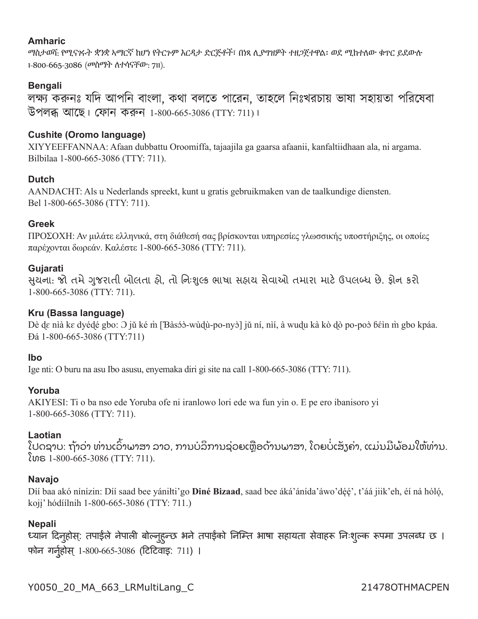## **Amharic**

ማስታወሻ: የሚናገሩት ቋንቋ ኣማርኛ ከሆነ የትርጉም እርዳታ ድርጅቶች፣ በነጻ ሊያግዝዎት ተዘጋጀተዋል፡ ወደ ሚከተለው ቁጥር ይደውሉ 1-800-665-3086 (መስማት ለተሳናቸው: 711).

# **Bengali**

লক্ষ্য করুনঃ যদি আপনি বাংলা, কথা বলতে পারেন, তাহলে নিঃখরচায় ভাষা সহায়তা পরিষেবা উপলব্ধ আতে। েফান করুন 1-800-665-3086 (TTY: 711)।

# **Cushite (Oromo language)**

XIYYEEFFANNAA: Afaan dubbattu Oroomiffa, tajaajila ga gaarsa afaanii, kanfaltiidhaan ala, ni argama. Bilbilaa 1-800-665-3086 (TTY: 711).

## **Dutch**

AANDACHT: Als u Nederlands spreekt, kunt u gratis gebruikmaken van de taalkundige diensten. Bel 1-800-665-3086 (TTY: 711).

## **Greek**

ΠΡΟΣΟΧΗ: Αν μιλάτε ελληνικά, στη διάθεσή σας βρίσκονται υπηρεσίες γλωσσικής υποστήριξης, οι οποίες παρέχονται δωρεάν. Καλέστε 1-800-665-3086 (TTY: 711).

## **Gujarati**

સુચના: જો તમે ગુજરાતી બોલતા હો, તો નિઃશુલ્ક ભાષા સહાય સેવાઓ તમારા માટે ઉપલબ્ધ છે. ફોન કરો 1-800-665-3086 (TTY: 711).

## **Kru (Bassa language)**

Dè dɛ nìà kɛ dyédé gbo: Ə jǔ ké m̀ [Ɓàsɔ́ɔ̀-wùd્ù-po-nyɔ̀] jǔ ní, nìí, à wud̥u kà kò d̥ò po-poɔ̀ ɓɛ́in m̀ gbo kpáa. Ɖá 1-800-665-3086 (TTY:711)

### **Ibo**

Ige nti: O buru na asu Ibo asusu, enyemaka diri gi site na call 1-800-665-3086 (TTY: 711).

### **Yoruba**

AKIYESI: Ti o ba nso ede Yoruba ofe ni iranlowo lori ede wa fun yin o. E pe ero ibanisoro yi 1-800-665-3086 (TTY: 711).

### **Laotian**

ູໂປດຊາບ: ຖ້າວ່າ ທ່ານເວົາພາສາ ລາວ, ການບໍລິການຊ່ວຍເຫຼືອດ້ານພາສາ, ໂດຍບໍເສັງຄ່າ, ແມ່ນມີພ້ອມໃຫ້ທ່ານ. ໂທຣ 1-800-665-3086 (TTY: 711).

### **Navajo**

Díí baa akó nínízin: Díí saad bee yániłti'go **Diné Bizaad**, saad bee áká'ánída'áwo'déé', t'áá jiik'eh, éí ná hóló, kojį' hódíílnih 1-800-665-3086 (TTY: 711.)

### **Nepali**

ध्यान दिनुहोस्: तपाईले नेपाली बोल्नुहुन्छ भने तपाईको निम्ति भाषा सहायता सेवाहरू निःशुल्क रूपमा उपलब्ध छ । फोन गर्नुहोस् 1-800-665-3086 (टिटिवाइ: 711) ।